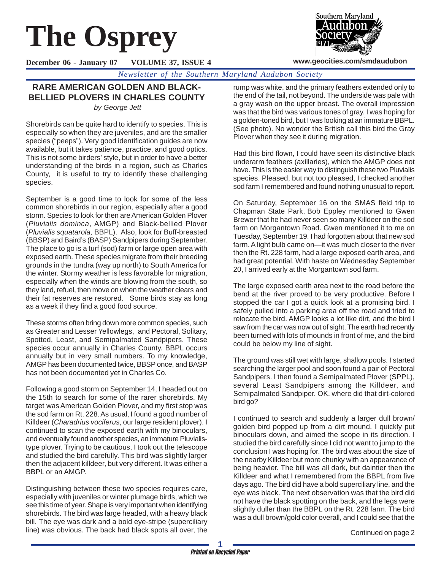# **The Osprey**



#### **www.geocities.com/smdaudubon**

**December 06 - January 07 VOLUME 37, ISSUE 4**

*Newsletter of the Southern Maryland Audubon Society*

## **RARE AMERICAN GOLDEN AND BLACK-BELLIED PLOVERS IN CHARLES COUNTY**

*by George Jett*

Shorebirds can be quite hard to identify to species. This is especially so when they are juveniles, and are the smaller species ("peeps"). Very good identification guides are now available, but it takes patience, practice, and good optics. This is not some birders' style, but in order to have a better understanding of the birds in a region, such as Charles County, it is useful to try to identify these challenging species.

September is a good time to look for some of the less common shorebirds in our region, especially after a good storm. Species to look for then are American Golden Plover (*Pluvialis dominca*, AMGP) and Black-bellied Plover (*Pluvialis squatarola,* BBPL). Also, look for Buff-breasted (BBSP) and Baird's (BASP) Sandpipers during September. The place to go is a turf (sod) farm or large open area with exposed earth. These species migrate from their breeding grounds in the tundra (way up north) to South America for the winter. Stormy weather is less favorable for migration, especially when the winds are blowing from the south, so they land, refuel, then move on when the weather clears and their fat reserves are restored. Some birds stay as long as a week if they find a good food source.

These storms often bring down more common species, such as Greater and Lesser Yellowlegs, and Pectoral, Solitary, Spotted, Least, and Semipalmated Sandpipers. These species occur annually in Charles County. BBPL occurs annually but in very small numbers. To my knowledge, AMGP has been documented twice, BBSP once, and BASP has not been documented yet in Charles Co.

Following a good storm on September 14, I headed out on the 15th to search for some of the rarer shorebirds. My target was American Golden Plover, and my first stop was the sod farm on Rt. 228. As usual, I found a good number of Killdeer (*Charadrius vociferus*, our large resident plover). I continued to scan the exposed earth with my binoculars, and eventually found another species, an immature Pluvialistype plover. Trying to be cautious, I took out the telescope and studied the bird carefully. This bird was slightly larger then the adjacent killdeer, but very different. It was either a BBPL or an AMGP.

Distinguishing between these two species requires care, especially with juveniles or winter plumage birds, which we see this time of year. Shape is very important when identifying shorebirds. The bird was large headed, with a heavy black bill. The eye was dark and a bold eye-stripe (superciliary line) was obvious. The back had black spots all over, the rump was white, and the primary feathers extended only to the end of the tail, not beyond. The underside was pale with a gray wash on the upper breast. The overall impression was that the bird was various tones of gray. I was hoping for a golden-toned bird, but I was looking at an immature BBPL. (See photo). No wonder the British call this bird the Gray Plover when they see it during migration.

Had this bird flown, I could have seen its distinctive black underarm feathers (axillaries), which the AMGP does not have. This is the easier way to distinguish these two Pluvialis species. Pleased, but not too pleased, I checked another sod farm I remembered and found nothing unusual to report.

On Saturday, September 16 on the SMAS field trip to Chapman State Park, Bob Eppley mentioned to Gwen Brewer that he had never seen so many Killdeer on the sod farm on Morgantown Road. Gwen mentioned it to me on Tuesday, September 19. I had forgotten about that new sod farm. A light bulb came on—it was much closer to the river then the Rt. 228 farm, had a large exposed earth area, and had great potential. With haste on Wednesday September 20, I arrived early at the Morgantown sod farm.

The large exposed earth area next to the road before the bend at the river proved to be very productive. Before I stopped the car I got a quick look at a promising bird. I safely pulled into a parking area off the road and tried to relocate the bird. AMGP looks a lot like dirt, and the bird I saw from the car was now out of sight. The earth had recently been turned with lots of mounds in front of me, and the bird could be below my line of sight.

The ground was still wet with large, shallow pools. I started searching the larger pool and soon found a pair of Pectoral Sandpipers. I then found a Semipalmated Plover (SPPL), several Least Sandpipers among the Killdeer, and Semipalmated Sandpiper. OK, where did that dirt-colored bird go?

I continued to search and suddenly a larger dull brown/ golden bird popped up from a dirt mound. I quickly put binoculars down, and aimed the scope in its direction. I studied the bird carefully since I did not want to jump to the conclusion I was hoping for. The bird was about the size of the nearby Killdeer but more chunky with an appearance of being heavier. The bill was all dark, but daintier then the Killdeer and what I remembered from the BBPL from five days ago. The bird did have a bold superciliary line, and the eye was black. The next observation was that the bird did not have the black spotting on the back, and the legs were slightly duller than the BBPL on the Rt. 228 farm. The bird was a dull brown/gold color overall, and I could see that the

Continued on page 2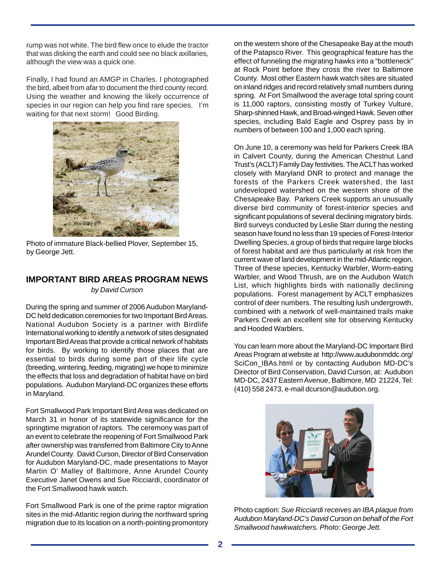rump was not white. The bird flew once to elude the tractor that was disking the earth and could see no black axillaries, although the view was a quick one.

Finally, I had found an AMGP in Charles. I photographed the bird, albeit from afar to document the third county record. Using the weather and knowing the likely occurrence of species in our region can help you find rare species. I'm waiting for that next storm! Good Birding.



Photo of immature Black-bellied Plover, September 15, by George Jett.

## **IMPORTANT BIRD AREAS PROGRAM NEWS**

*by David Curson*

During the spring and summer of 2006 Audubon Maryland-DC held dedication ceremonies for two Important Bird Areas. National Audubon Society is a partner with Birdlife International working to identify a network of sites designated Important Bird Areas that provide a critical network of habitats for birds. By working to identify those places that are essential to birds during some part of their life cycle (breeding, wintering, feeding, migrating) we hope to minimize the effects that loss and degradation of habitat have on bird populations. Audubon Maryland-DC organizes these efforts in Maryland.

Fort Smallwood Park Important Bird Area was dedicated on March 31 in honor of its statewide significance for the springtime migration of raptors. The ceremony was part of an event to celebrate the reopening of Fort Smallwood Park after ownership was transferred from Baltimore City to Anne Arundel County. David Curson, Director of Bird Conservation for Audubon Maryland-DC, made presentations to Mayor Martin O' Malley of Baltimore, Anne Arundel County Executive Janet Owens and Sue Ricciardi, coordinator of the Fort Smallwood hawk watch.

Fort Smallwood Park is one of the prime raptor migration sites in the mid-Atlantic region during the northward spring migration due to its location on a north-pointing promontory on the western shore of the Chesapeake Bay at the mouth of the Patapsco River. This geographical feature has the effect of funneling the migrating hawks into a "bottleneck" at Rock Point before they cross the river to Baltimore County. Most other Eastern hawk watch sites are situated on inland ridges and record relatively small numbers during spring*.* At Fort Smallwood the average total spring count is 11,000 raptors, consisting mostly of Turkey Vulture, Sharp-shinned Hawk, and Broad-winged Hawk. Seven other species, including Bald Eagle and Osprey pass by in numbers of between 100 and 1,000 each spring.

On June 10, a ceremony was held for Parkers Creek IBA in Calvert County, during the American Chestnut Land Trust's (ACLT) Family Day festivities. The ACLT has worked closely with Maryland DNR to protect and manage the forests of the Parkers Creek watershed, the last undeveloped watershed on the western shore of the Chesapeake Bay. Parkers Creek supports an unusually diverse bird community of forest-interior species and significant populations of several declining migratory birds. Bird surveys conducted by Leslie Starr during the nesting season have found no less than 19 species of Forest-Interior Dwelling Species, a group of birds that require large blocks of forest habitat and are thus particularly at risk from the current wave of land development in the mid-Atlantic region. Three of these species, Kentucky Warbler, Worm-eating Warbler, and Wood Thrush, are on the Audubon Watch List, which highlights birds with nationally declining populations. Forest management by ACLT emphasizes control of deer numbers. The resulting lush undergrowth, combined with a network of well-maintained trails make Parkers Creek an excellent site for observing Kentucky and Hooded Warblers.

You can learn more about the Maryland-DC Important Bird Areas Program at website at http://www.audubonmddc.org/ SciCon\_IBAs.html or by contacting Audubon MD-DC's Director of Bird Conservation, David Curson, at: Audubon MD-DC, 2437 Eastern Avenue, Baltimore, MD 21224, Tel: (410) 558 2473, e-mail dcurson@audubon.org.



Photo caption: *Sue Ricciardi receives an IBA plaque from Audubon Maryland-DC's David Curson on behalf of the Fort Smallwood hawkwatchers. Photo: George Jett.*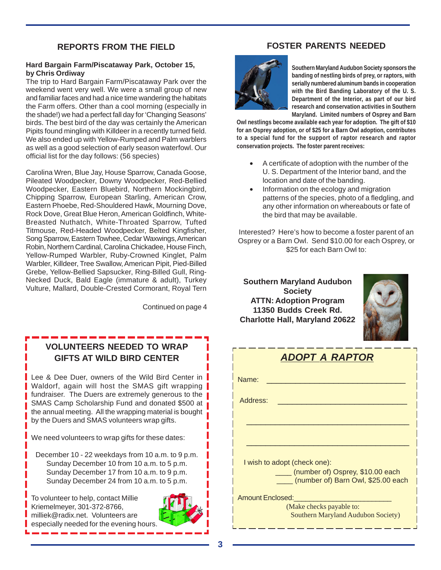### **REPORTS FROM THE FIELD**

#### **Hard Bargain Farm/Piscataway Park, October 15, by Chris Ordiway**

The trip to Hard Bargain Farm/Piscataway Park over the weekend went very well. We were a small group of new and familiar faces and had a nice time wandering the habitats the Farm offers. Other than a cool morning (especially in the shade!) we had a perfect fall day for 'Changing Seasons' birds. The best bird of the day was certainly the American Pipits found mingling with Killdeer in a recently turned field. We also ended up with Yellow-Rumped and Palm warblers as well as a good selection of early season waterfowl. Our official list for the day follows: (56 species)

Carolina Wren, Blue Jay, House Sparrow, Canada Goose, Pileated Woodpecker, Downy Woodpecker, Red-Bellied Woodpecker, Eastern Bluebird, Northern Mockingbird, Chipping Sparrow, European Starling, American Crow, Eastern Phoebe, Red-Shouldered Hawk, Mourning Dove, Rock Dove, Great Blue Heron, American Goldfinch, White-Breasted Nuthatch, White-Throated Sparrow, Tufted Titmouse, Red-Headed Woodpecker, Belted Kingfisher, Song Sparrow, Eastern Towhee, Cedar Waxwings, American Robin, Northern Cardinal, Carolina Chickadee, House Finch, Yellow-Rumped Warbler, Ruby-Crowned Kinglet, Palm Warbler, Killdeer, Tree Swallow, American Pipit, Pied-Billed Grebe, Yellow-Bellied Sapsucker, Ring-Billed Gull, Ring-Necked Duck, Bald Eagle (immature & adult), Turkey Vulture, Mallard, Double-Crested Cormorant, Royal Tern

Continued on page 4

## **VOLUNTEERS NEEDED TO WRAP GIFTS AT WILD BIRD CENTER**

Lee & Dee Duer, owners of the Wild Bird Center in Waldorf, again will host the SMAS gift wrapping fundraiser. The Duers are extremely generous to the SMAS Camp Scholarship Fund and donated \$500 at the annual meeting. All the wrapping material is bought  $\frac{1}{2}$ by the Duers and SMAS volunteers wrap gifts.

We need volunteers to wrap gifts for these dates:

December 10 - 22 weekdays from 10 a.m. to 9 p.m. Sunday December 10 from 10 a.m. to 5 p.m. Sunday December 17 from 10 a.m. to 9 p.m. Sunday December 24 from 10 a.m. to 5 p.m.

To volunteer to help, contact Millie Kriemelmeyer, 301-372-8766, milliek@radix.net. Volunteers are especially needed for the evening hours.



## **FOSTER PARENTS NEEDED**



**Southern Maryland Audubon Society sponsors the banding of nestling birds of prey, or raptors, with serially numbered aluminum bands in cooperation with the Bird Banding Laboratory of the U. S. Department of the Interior, as part of our bird research and conservation activities in Southern Maryland. Limited numbers of Osprey and Barn**

**Owl nestlings become available each year for adoption. The gift of \$10 for an Osprey adoption, or of \$25 for a Barn Owl adoption, contributes to a special fund for the support of raptor research and raptor conservation projects. The foster parent receives:**

- A certificate of adoption with the number of the U. S. Department of the Interior band, and the location and date of the banding.
- Information on the ecology and migration patterns of the species, photo of a fledgling, and any other information on whereabouts or fate of the bird that may be available.

Interested? Here's how to become a foster parent of an Osprey or a Barn Owl. Send \$10.00 for each Osprey, or \$25 for each Barn Owl to:

**Southern Maryland Audubon Society ATTN: Adoption Program 11350 Budds Creek Rd. Charlotte Hall, Maryland 20622**



| <b>ADOPT A RAPTOR</b>                                                       |  |
|-----------------------------------------------------------------------------|--|
| Name:                                                                       |  |
| Address:                                                                    |  |
|                                                                             |  |
|                                                                             |  |
| I wish to adopt (check one):                                                |  |
| ____ (number of) Osprey, \$10.00 each<br>(number of) Barn Owl, \$25.00 each |  |
| <b>Amount Enclosed:</b>                                                     |  |
| (Make checks payable to:<br><b>Southern Maryland Audubon Society)</b>       |  |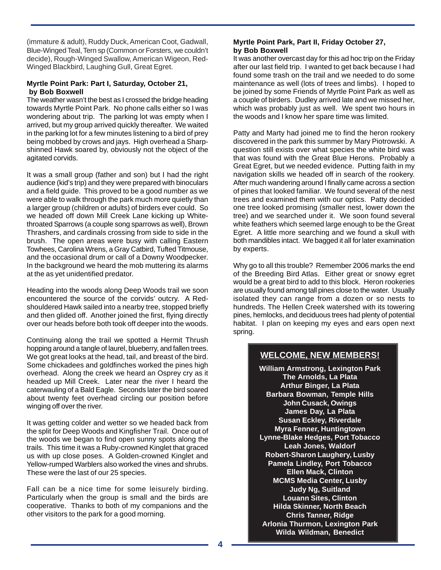(immature & adult), Ruddy Duck, American Coot, Gadwall, Blue-Winged Teal, Tern sp (Common or Forsters, we couldn't decide), Rough-Winged Swallow, American Wigeon, Red-Winged Blackbird, Laughing Gull, Great Egret.

#### **Myrtle Point Park: Part I, Saturday, October 21, by Bob Boxwell**

The weather wasn't the best as I crossed the bridge heading towards Myrtle Point Park. No phone calls either so I was wondering about trip. The parking lot was empty when I arrived, but my group arrived quickly thereafter. We waited in the parking lot for a few minutes listening to a bird of prey being mobbed by crows and jays. High overhead a Sharpshinned Hawk soared by, obviously not the object of the agitated corvids.

It was a small group (father and son) but I had the right audience (kid's trip) and they were prepared with binoculars and a field guide. This proved to be a good number as we were able to walk through the park much more quietly than a larger group (children or adults) of birders ever could. So we headed off down Mill Creek Lane kicking up Whitethroated Sparrows (a couple song sparrows as well), Brown Thrashers, and cardinals crossing from side to side in the brush. The open areas were busy with calling Eastern Towhees, Carolina Wrens, a Gray Catbird, Tufted Titmouse, and the occasional drum or call of a Downy Woodpecker. In the background we heard the mob muttering its alarms at the as yet unidentified predator.

Heading into the woods along Deep Woods trail we soon encountered the source of the corvids' outcry. A Redshouldered Hawk sailed into a nearby tree, stopped briefly and then glided off. Another joined the first, flying directly over our heads before both took off deeper into the woods.

Continuing along the trail we spotted a Hermit Thrush hopping around a tangle of laurel, blueberry, and fallen trees. We got great looks at the head, tail, and breast of the bird. Some chickadees and goldfinches worked the pines high overhead. Along the creek we heard an Osprey cry as it headed up Mill Creek. Later near the river I heard the caterwauling of a Bald Eagle. Seconds later the bird soared about twenty feet overhead circling our position before winging off over the river.

It was getting colder and wetter so we headed back from the split for Deep Woods and Kingfisher Trail. Once out of the woods we began to find open sunny spots along the trails. This time it was a Ruby-crowned Kinglet that graced us with up close poses. A Golden-crowned Kinglet and Yellow-rumped Warblers also worked the vines and shrubs. These were the last of our 25 species.

Fall can be a nice time for some leisurely birding. Particularly when the group is small and the birds are cooperative. Thanks to both of my companions and the other visitors to the park for a good morning.

#### **Myrtle Point Park, Part II, Friday October 27, by Bob Boxwell**

It was another overcast day for this ad hoc trip on the Friday after our last field trip. I wanted to get back because I had found some trash on the trail and we needed to do some maintenance as well (lots of trees and limbs). I hoped to be joined by some Friends of Myrtle Point Park as well as a couple of birders. Dudley arrived late and we missed her, which was probably just as well. We spent two hours in the woods and I know her spare time was limited.

Patty and Marty had joined me to find the heron rookery discovered in the park this summer by Mary Piotrowski. A question still exists over what species the white bird was that was found with the Great Blue Herons. Probably a Great Egret, but we needed evidence. Putting faith in my navigation skills we headed off in search of the rookery. After much wandering around I finally came across a section of pines that looked familiar. We found several of the nest trees and examined them with our optics. Patty decided one tree looked promising (smaller nest, lower down the tree) and we searched under it. We soon found several white feathers which seemed large enough to be the Great Egret. A little more searching and we found a skull with both mandibles intact. We bagged it all for later examination by experts.

Why go to all this trouble? Remember 2006 marks the end of the Breeding Bird Atlas. Either great or snowy egret would be a great bird to add to this block. Heron rookeries are usually found among tall pines close to the water. Usually isolated they can range from a dozen or so nests to hundreds. The Hellen Creek watershed with its towering pines, hemlocks, and deciduous trees had plenty of potential habitat. I plan on keeping my eyes and ears open next spring.

## **WELCOME, NEW MEMBERS!**

**William Armstrong, Lexington Park The Arnolds, La Plata Arthur Binger, La Plata Barbara Bowman, Temple Hills John Cusack, Owings James Day, La Plata Susan Eckley, Riverdale Myra Fenner, Huntingtown Lynne-Blake Hedges, Port Tobacco Leah Jones, Waldorf Robert-Sharon Laughery, Lusby Pamela Lindley, Port Tobacco Ellen Mack, Clinton MCMS Media Center, Lusby Judy Ng, Suitland Louann Sites, Clinton Hilda Skinner, North Beach Chris Tanner, Ridge Arlonia Thurmon, Lexington Park Wilda Wildman, Benedict**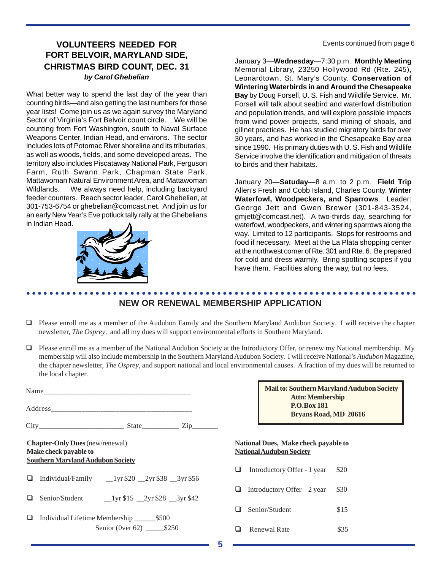## **VOLUNTEERS NEEDED FOR Exercise Continued from page 6 FORT BELVOIR, MARYLAND SIDE, CHRISTMAS BIRD COUNT, DEC. 31** *by Carol Ghebelian*

What better way to spend the last day of the year than counting birds—and also getting the last numbers for those year lists! Come join us as we again survey the Maryland Sector of Virginia's Fort Belvoir count circle. We will be counting from Fort Washington, south to Naval Surface Weapons Center, Indian Head, and environs. The sector includes lots of Potomac River shoreline and its tributaries, as well as woods, fields, and some developed areas. The territory also includes Piscataway National Park, Ferguson Farm, Ruth Swann Park, Chapman State Park, Mattawoman Natural Environment Area, and Mattawoman Wildlands. We always need help, including backyard feeder counters. Reach sector leader, Carol Ghebelian, at 301-753-6754 or ghebelian@comcast.net. And join us for an early New Year's Eve potluck tally rally at the Ghebelians in Indian Head.



January 3—**Wednesday**—7:30 p.m. **Monthly Meeting** Memorial Library, 23250 Hollywood Rd (Rte. 245), Leonardtown, St. Mary's County. **Conservation of Wintering Waterbirds in and Around the Chesapeake Bay** by Doug Forsell, U. S. Fish and Wildlife Service. Mr. Forsell will talk about seabird and waterfowl distribution and population trends, and will explore possible impacts from wind power projects, sand mining of shoals, and gillnet practices. He has studied migratory birds for over 30 years, and has worked in the Chesapeake Bay area since 1990. His primary duties with U. S. Fish and Wildlife Service involve the identification and mitigation of threats to birds and their habitats.

January 20—**Satuday**—8 a.m. to 2 p.m. **Field Trip** Allen's Fresh and Cobb Island, Charles County. **Winter Waterfowl, Woodpeckers, and Sparrows**. Leader: George Jett and Gwen Brewer (301-843-3524, gmjett@comcast.net). A two-thirds day, searching for waterfowl, woodpeckers, and wintering sparrows along the way. Limited to 12 participants. Stops for restrooms and food if necessary. Meet at the La Plata shopping center at the northwest corner of Rte. 301 and Rte. 6. Be prepared for cold and dress warmly. Bring spotting scopes if you have them. Facilities along the way, but no fees.

#### ○○○○○○○○○○○○○○○○○○○○○○○○○○○○○○○○○○○○○○○○○○○○○ ○○○○○○○○○○○○○○○○○○○○○○○ **NEW OR RENEWAL MEMBERSHIP APPLICATION**

- Please enroll me as a member of the Audubon Family and the Southern Maryland Audubon Society. I will receive the chapter newsletter, *The Osprey*, and all my dues will support environmental efforts in Southern Maryland.
- Please enroll me as a member of the National Audubon Society at the Introductory Offer, or renew my National membership. My membership will also include membership in the Southern Maryland Audubon Society. I will receive National's *Audubon* Magazine, the chapter newsletter, *The Osprey*, and support national and local environmental causes. A fraction of my dues will be returned to the local chapter.

| $State$ $\overline{Zip$                                                                                                                                                  |
|--------------------------------------------------------------------------------------------------------------------------------------------------------------------------|
| <b>Chapter-Only Dues</b> (new/renewal)<br>Make check payable to<br><b>Southern Maryland Audubon Society</b><br>$\Box$ Individual/Family __1yr \$20 __2yr \$38 __3yr \$56 |
| Senior/Student 1yr \$15 2yr \$28 3yr \$42                                                                                                                                |
| Individual Lifetime Membership _________ \$500<br>Senior (0ver 62) ________ \$250                                                                                        |

**Mail to: Southern Maryland Audubon Society Attn: Membership P.O.Box 181 Bryans Road, MD 20616**

#### **National Dues, Make check payable to National Audubon Society**

- Introductory Offer 1 year \$20 **Introductory Offer** – 2 year  $$30$  $\Box$  Senior/Student \$15
- **a** Renewal Rate \$35